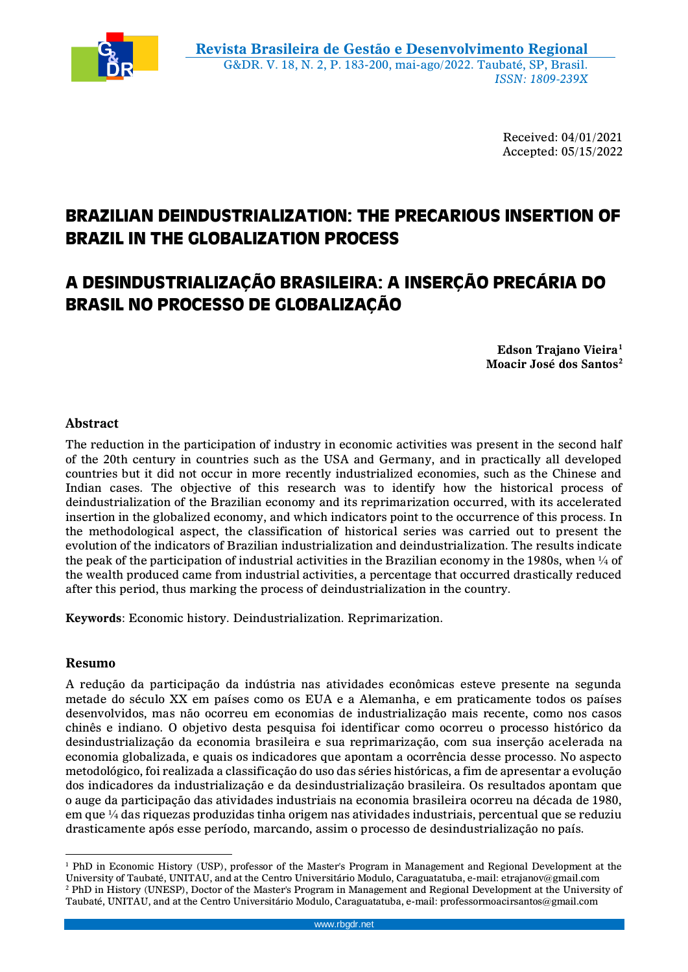

Received: 04/01/2021 Accepted: 05/15/2022

# **BRAZILIAN DEINDUSTRIALIZATION: THE PRECARIOUS INSERTION OF BRAZIL IN THE GLOBALIZATION PROCESS**

# **A DESINDUSTRIALIZAÇÃO BRASILEIRA: A INSERÇÃO PRECÁRIA DO BRASIL NO PROCESSO DE GLOBALIZAÇÃO**

**Edson Trajano Vieira<sup>1</sup> Moacir José dos Santos<sup>2</sup>**

# **Abstract**

The reduction in the participation of industry in economic activities was present in the second half of the 20th century in countries such as the USA and Germany, and in practically all developed countries but it did not occur in more recently industrialized economies, such as the Chinese and Indian cases. The objective of this research was to identify how the historical process of deindustrialization of the Brazilian economy and its reprimarization occurred, with its accelerated insertion in the globalized economy, and which indicators point to the occurrence of this process. In the methodological aspect, the classification of historical series was carried out to present the evolution of the indicators of Brazilian industrialization and deindustrialization. The results indicate the peak of the participation of industrial activities in the Brazilian economy in the 1980s, when  $\frac{1}{4}$  of the wealth produced came from industrial activities, a percentage that occurred drastically reduced after this period, thus marking the process of deindustrialization in the country.

**Keywords**: Economic history. Deindustrialization. Reprimarization.

# **Resumo**

A redução da participação da indústria nas atividades econômicas esteve presente na segunda metade do século XX em países como os EUA e a Alemanha, e em praticamente todos os países desenvolvidos, mas não ocorreu em economias de industrialização mais recente, como nos casos chinês e indiano. O objetivo desta pesquisa foi identificar como ocorreu o processo histórico da desindustrialização da economia brasileira e sua reprimarização, com sua inserção acelerada na economia globalizada, e quais os indicadores que apontam a ocorrência desse processo. No aspecto metodológico, foi realizada a classificação do uso das séries históricas, a fim de apresentar a evolução dos indicadores da industrialização e da desindustrialização brasileira. Os resultados apontam que o auge da participação das atividades industriais na economia brasileira ocorreu na década de 1980, em que  $\frac{1}{4}$  das riquezas produzidas tinha origem nas atividades industriais, percentual que se reduziu drasticamente após esse período, marcando, assim o processo de desindustrialização no país.

 $\overline{a}$ <sup>1</sup> PhD in Economic History (USP), professor of the Master's Program in Management and Regional Development at the University of Taubaté, UNITAU, and at the Centro Universitário Modulo, Caraguatatuba, e-mail: etrajanov@gmail.com <sup>2</sup> PhD in History (UNESP), Doctor of the Master's Program in Management and Regional Development at the University of Taubaté, UNITAU, and at the Centro Universitário Modulo, Caraguatatuba, e-mail: professormoacirsantos@gmail.com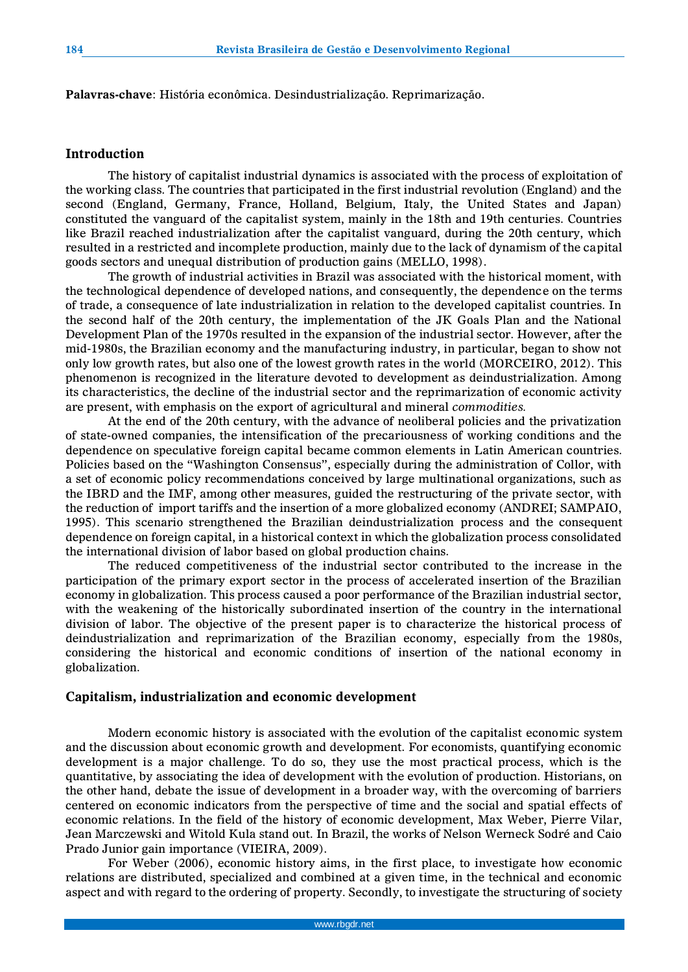**Palavras-chave**: História econômica. Desindustrialização. Reprimarização.

#### **Introduction**

The history of capitalist industrial dynamics is associated with the process of exploitation of the working class. The countries that participated in the first industrial revolution (England) and the second (England, Germany, France, Holland, Belgium, Italy, the United States and Japan) constituted the vanguard of the capitalist system, mainly in the 18th and 19th centuries. Countries like Brazil reached industrialization after the capitalist vanguard, during the 20th century, which resulted in a restricted and incomplete production, mainly due to the lack of dynamism of the capital goods sectors and unequal distribution of production gains (MELLO, 1998).

The growth of industrial activities in Brazil was associated with the historical moment, with the technological dependence of developed nations, and consequently, the dependence on the terms of trade, a consequence of late industrialization in relation to the developed capitalist countries. In the second half of the 20th century, the implementation of the JK Goals Plan and the National Development Plan of the 1970s resulted in the expansion of the industrial sector. However, after the mid-1980s, the Brazilian economy and the manufacturing industry, in particular, began to show not only low growth rates, but also one of the lowest growth rates in the world (MORCEIRO, 2012). This phenomenon is recognized in the literature devoted to development as deindustrialization. Among its characteristics, the decline of the industrial sector and the reprimarization of economic activity are present, with emphasis on the export of agricultural and mineral *commodities.*

At the end of the 20th century, with the advance of neoliberal policies and the privatization of state-owned companies, the intensification of the precariousness of working conditions and the dependence on speculative foreign capital became common elements in Latin American countries. Policies based on the "Washington Consensus", especially during the administration of Collor, with a set of economic policy recommendations conceived by large multinational organizations, such as the IBRD and the IMF, among other measures, guided the restructuring of the private sector, with the reduction of import tariffs and the insertion of a more globalized economy (ANDREI; SAMPAIO, 1995). This scenario strengthened the Brazilian deindustrialization process and the consequent dependence on foreign capital, in a historical context in which the globalization process consolidated the international division of labor based on global production chains.

The reduced competitiveness of the industrial sector contributed to the increase in the participation of the primary export sector in the process of accelerated insertion of the Brazilian economy in globalization. This process caused a poor performance of the Brazilian industrial sector, with the weakening of the historically subordinated insertion of the country in the international division of labor. The objective of the present paper is to characterize the historical process of deindustrialization and reprimarization of the Brazilian economy, especially from the 1980s, considering the historical and economic conditions of insertion of the national economy in globalization.

### **Capitalism, industrialization and economic development**

Modern economic history is associated with the evolution of the capitalist economic system and the discussion about economic growth and development. For economists, quantifying economic development is a major challenge. To do so, they use the most practical process, which is the quantitative, by associating the idea of development with the evolution of production. Historians, on the other hand, debate the issue of development in a broader way, with the overcoming of barriers centered on economic indicators from the perspective of time and the social and spatial effects of economic relations. In the field of the history of economic development, Max Weber, Pierre Vilar, Jean Marczewski and Witold Kula stand out. In Brazil, the works of Nelson Werneck Sodré and Caio Prado Junior gain importance (VIEIRA, 2009).

For Weber (2006), economic history aims, in the first place, to investigate how economic relations are distributed, specialized and combined at a given time, in the technical and economic aspect and with regard to the ordering of property. Secondly, to investigate the structuring of society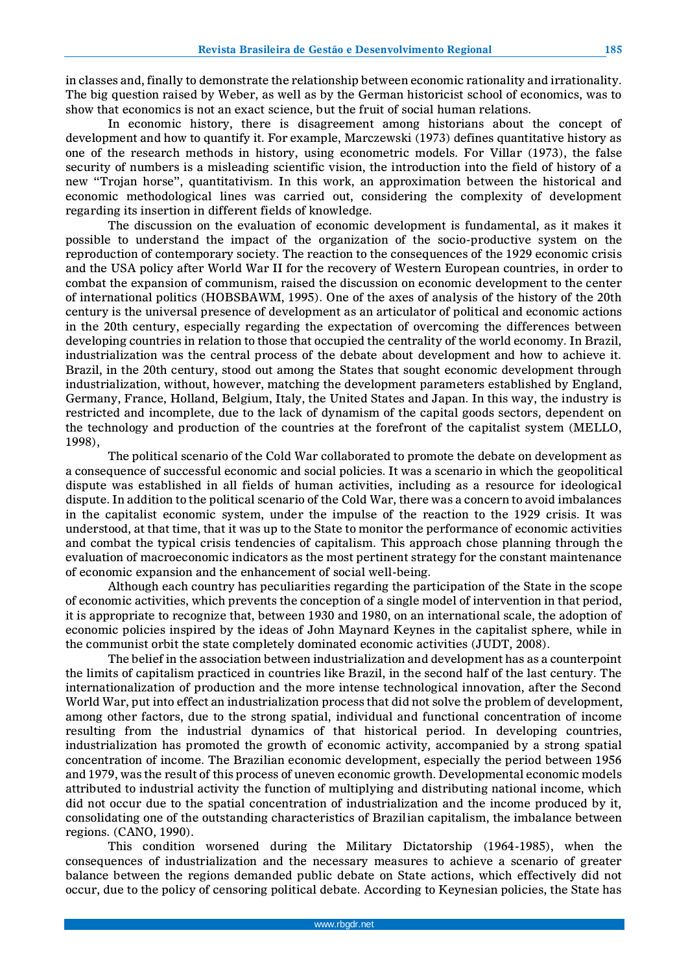in classes and, finally to demonstrate the relationship between economic rationality and irrationality. The big question raised by Weber, as well as by the German historicist school of economics, was to show that economics is not an exact science, but the fruit of social human relations.

In economic history, there is disagreement among historians about the concept of development and how to quantify it. For example, Marczewski (1973) defines quantitative history as one of the research methods in history, using econometric models. For Villar (1973), the false security of numbers is a misleading scientific vision, the introduction into the field of history of a new "Trojan horse", quantitativism. In this work, an approximation between the historical and economic methodological lines was carried out, considering the complexity of development regarding its insertion in different fields of knowledge.

The discussion on the evaluation of economic development is fundamental, as it makes it possible to understand the impact of the organization of the socio-productive system on the reproduction of contemporary society. The reaction to the consequences of the 1929 economic crisis and the USA policy after World War II for the recovery of Western European countries, in order to combat the expansion of communism, raised the discussion on economic development to the center of international politics (HOBSBAWM, 1995). One of the axes of analysis of the history of the 20th century is the universal presence of development as an articulator of political and economic actions in the 20th century, especially regarding the expectation of overcoming the differences between developing countries in relation to those that occupied the centrality of the world economy. In Brazil, industrialization was the central process of the debate about development and how to achieve it. Brazil, in the 20th century, stood out among the States that sought economic development through industrialization, without, however, matching the development parameters established by England, Germany, France, Holland, Belgium, Italy, the United States and Japan. In this way, the industry is restricted and incomplete, due to the lack of dynamism of the capital goods sectors, dependent on the technology and production of the countries at the forefront of the capitalist system (MELLO, 1998),

The political scenario of the Cold War collaborated to promote the debate on development as a consequence of successful economic and social policies. It was a scenario in which the geopolitical dispute was established in all fields of human activities, including as a resource for ideological dispute. In addition to the political scenario of the Cold War, there was a concern to avoid imbalances in the capitalist economic system, under the impulse of the reaction to the 1929 crisis. It was understood, at that time, that it was up to the State to monitor the performance of economic activities and combat the typical crisis tendencies of capitalism. This approach chose planning through the evaluation of macroeconomic indicators as the most pertinent strategy for the constant maintenance of economic expansion and the enhancement of social well-being.

Although each country has peculiarities regarding the participation of the State in the scope of economic activities, which prevents the conception of a single model of intervention in that period, it is appropriate to recognize that, between 1930 and 1980, on an international scale, the adoption of economic policies inspired by the ideas of John Maynard Keynes in the capitalist sphere, while in the communist orbit the state completely dominated economic activities (JUDT, 2008).

The belief in the association between industrialization and development has as a counterpoint the limits of capitalism practiced in countries like Brazil, in the second half of the last century. The internationalization of production and the more intense technological innovation, after the Second World War, put into effect an industrialization process that did not solve the problem of development, among other factors, due to the strong spatial, individual and functional concentration of income resulting from the industrial dynamics of that historical period. In developing countries, industrialization has promoted the growth of economic activity, accompanied by a strong spatial concentration of income. The Brazilian economic development, especially the period between 1956 and 1979, was the result of this process of uneven economic growth. Developmental economic models attributed to industrial activity the function of multiplying and distributing national income, which did not occur due to the spatial concentration of industrialization and the income produced by it, consolidating one of the outstanding characteristics of Brazilian capitalism, the imbalance between regions. (CANO, 1990).

This condition worsened during the Military Dictatorship (1964-1985), when the consequences of industrialization and the necessary measures to achieve a scenario of greater balance between the regions demanded public debate on State actions, which effectively did not occur, due to the policy of censoring political debate. According to Keynesian policies, the State has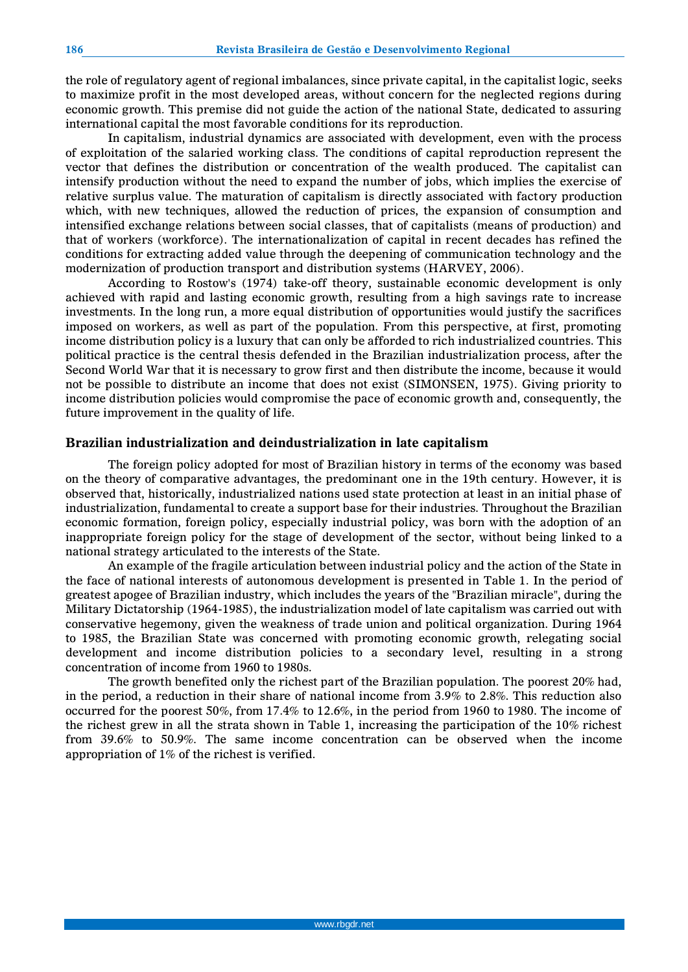the role of regulatory agent of regional imbalances, since private capital, in the capitalist logic, seeks to maximize profit in the most developed areas, without concern for the neglected regions during economic growth. This premise did not guide the action of the national State, dedicated to assuring international capital the most favorable conditions for its reproduction.

In capitalism, industrial dynamics are associated with development, even with the process of exploitation of the salaried working class. The conditions of capital reproduction represent the vector that defines the distribution or concentration of the wealth produced. The capitalist can intensify production without the need to expand the number of jobs, which implies the exercise of relative surplus value. The maturation of capitalism is directly associated with factory production which, with new techniques, allowed the reduction of prices, the expansion of consumption and intensified exchange relations between social classes, that of capitalists (means of production) and that of workers (workforce). The internationalization of capital in recent decades has refined the conditions for extracting added value through the deepening of communication technology and the modernization of production transport and distribution systems (HARVEY, 2006).

According to Rostow's (1974) take-off theory, sustainable economic development is only achieved with rapid and lasting economic growth, resulting from a high savings rate to increase investments. In the long run, a more equal distribution of opportunities would justify the sacrifices imposed on workers, as well as part of the population. From this perspective, at first, promoting income distribution policy is a luxury that can only be afforded to rich industrialized countries. This political practice is the central thesis defended in the Brazilian industrialization process, after the Second World War that it is necessary to grow first and then distribute the income, because it would not be possible to distribute an income that does not exist (SIMONSEN, 1975). Giving priority to income distribution policies would compromise the pace of economic growth and, consequently, the future improvement in the quality of life.

#### **Brazilian industrialization and deindustrialization in late capitalism**

The foreign policy adopted for most of Brazilian history in terms of the economy was based on the theory of comparative advantages, the predominant one in the 19th century. However, it is observed that, historically, industrialized nations used state protection at least in an initial phase of industrialization, fundamental to create a support base for their industries. Throughout the Brazilian economic formation, foreign policy, especially industrial policy, was born with the adoption of an inappropriate foreign policy for the stage of development of the sector, without being linked to a national strategy articulated to the interests of the State.

An example of the fragile articulation between industrial policy and the action of the State in the face of national interests of autonomous development is presented in Table 1. In the period of greatest apogee of Brazilian industry, which includes the years of the "Brazilian miracle", during the Military Dictatorship (1964-1985), the industrialization model of late capitalism was carried out with conservative hegemony, given the weakness of trade union and political organization. During 1964 to 1985, the Brazilian State was concerned with promoting economic growth, relegating social development and income distribution policies to a secondary level, resulting in a strong concentration of income from 1960 to 1980s.

The growth benefited only the richest part of the Brazilian population. The poorest 20% had, in the period, a reduction in their share of national income from 3.9% to 2.8%. This reduction also occurred for the poorest 50%, from 17.4% to 12.6%, in the period from 1960 to 1980. The income of the richest grew in all the strata shown in Table 1, increasing the participation of the 10% richest from 39.6% to 50.9%. The same income concentration can be observed when the income appropriation of 1% of the richest is verified.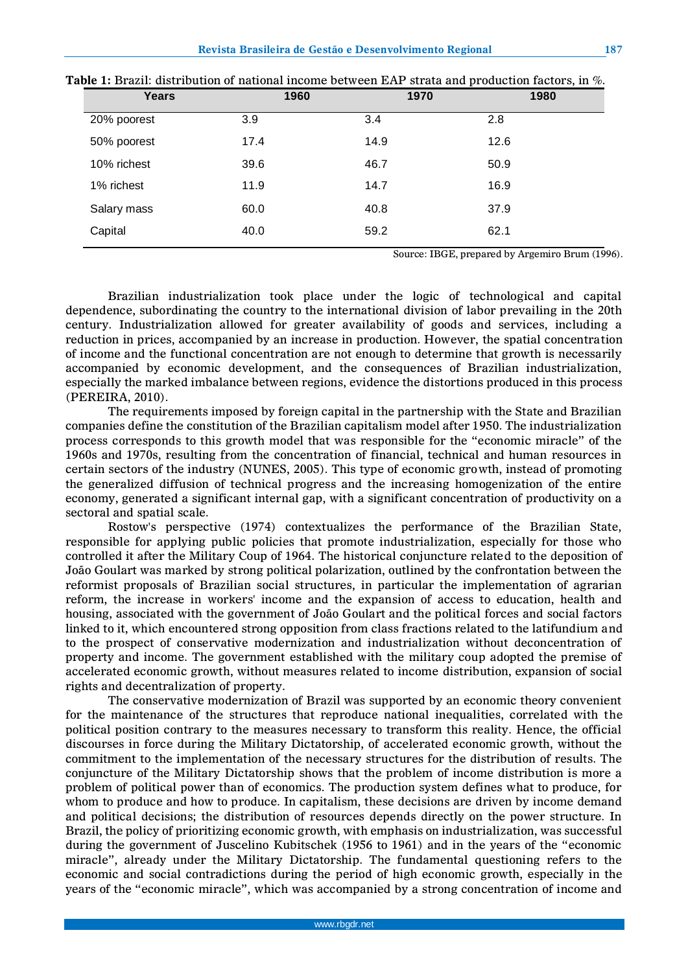| <b>Years</b> | 1960 | 1970 | 1980 |
|--------------|------|------|------|
| 20% poorest  | 3.9  | 3.4  | 2.8  |
| 50% poorest  | 17.4 | 14.9 | 12.6 |
| 10% richest  | 39.6 | 46.7 | 50.9 |
| 1% richest   | 11.9 | 14.7 | 16.9 |
| Salary mass  | 60.0 | 40.8 | 37.9 |
| Capital      | 40.0 | 59.2 | 62.1 |

| Table 1: Brazil: distribution of national income between EAP strata and production factors, in %. |  |
|---------------------------------------------------------------------------------------------------|--|
|---------------------------------------------------------------------------------------------------|--|

Source: IBGE, prepared by Argemiro Brum (1996).

Brazilian industrialization took place under the logic of technological and capital dependence, subordinating the country to the international division of labor prevailing in the 20th century. Industrialization allowed for greater availability of goods and services, including a reduction in prices, accompanied by an increase in production. However, the spatial concentration of income and the functional concentration are not enough to determine that growth is necessarily accompanied by economic development, and the consequences of Brazilian industrialization, especially the marked imbalance between regions, evidence the distortions produced in this process (PEREIRA, 2010).

The requirements imposed by foreign capital in the partnership with the State and Brazilian companies define the constitution of the Brazilian capitalism model after 1950. The industrialization process corresponds to this growth model that was responsible for the "economic miracle" of the 1960s and 1970s, resulting from the concentration of financial, technical and human resources in certain sectors of the industry (NUNES, 2005). This type of economic growth, instead of promoting the generalized diffusion of technical progress and the increasing homogenization of the entire economy, generated a significant internal gap, with a significant concentration of productivity on a sectoral and spatial scale.

Rostow's perspective (1974) contextualizes the performance of the Brazilian State, responsible for applying public policies that promote industrialization, especially for those who controlled it after the Military Coup of 1964. The historical conjuncture related to the deposition of João Goulart was marked by strong political polarization, outlined by the confrontation between the reformist proposals of Brazilian social structures, in particular the implementation of agrarian reform, the increase in workers' income and the expansion of access to education, health and housing, associated with the government of João Goulart and the political forces and social factors linked to it, which encountered strong opposition from class fractions related to the latifundium and to the prospect of conservative modernization and industrialization without deconcentration of property and income. The government established with the military coup adopted the premise of accelerated economic growth, without measures related to income distribution, expansion of social rights and decentralization of property.

The conservative modernization of Brazil was supported by an economic theory convenient for the maintenance of the structures that reproduce national inequalities, correlated with the political position contrary to the measures necessary to transform this reality. Hence, the official discourses in force during the Military Dictatorship, of accelerated economic growth, without the commitment to the implementation of the necessary structures for the distribution of results. The conjuncture of the Military Dictatorship shows that the problem of income distribution is more a problem of political power than of economics. The production system defines what to produce, for whom to produce and how to produce. In capitalism, these decisions are driven by income demand and political decisions; the distribution of resources depends directly on the power structure. In Brazil, the policy of prioritizing economic growth, with emphasis on industrialization, was successful during the government of Juscelino Kubitschek (1956 to 1961) and in the years of the "economic miracle", already under the Military Dictatorship. The fundamental questioning refers to the economic and social contradictions during the period of high economic growth, especially in the years of the "economic miracle", which was accompanied by a strong concentration of income and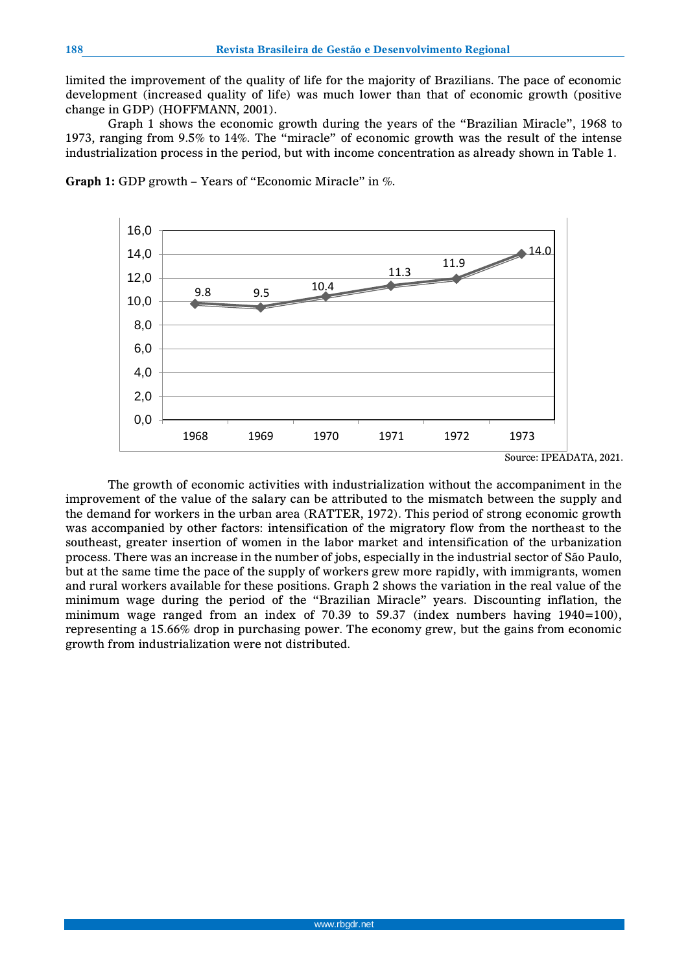limited the improvement of the quality of life for the majority of Brazilians. The pace of economic development (increased quality of life) was much lower than that of economic growth (positive change in GDP) (HOFFMANN, 2001).

Graph 1 shows the economic growth during the years of the "Brazilian Miracle", 1968 to 1973, ranging from 9.5% to 14%. The "miracle" of economic growth was the result of the intense industrialization process in the period, but with income concentration as already shown in Table 1.



**Graph 1:** GDP growth – Years of "Economic Miracle" in %.

The growth of economic activities with industrialization without the accompaniment in the improvement of the value of the salary can be attributed to the mismatch between the supply and the demand for workers in the urban area (RATTER, 1972). This period of strong economic growth was accompanied by other factors: intensification of the migratory flow from the northeast to the southeast, greater insertion of women in the labor market and intensification of the urbanization process. There was an increase in the number of jobs, especially in the industrial sector of São Paulo, but at the same time the pace of the supply of workers grew more rapidly, with immigrants, women and rural workers available for these positions. Graph 2 shows the variation in the real value of the minimum wage during the period of the "Brazilian Miracle" years. Discounting inflation, the minimum wage ranged from an index of  $70.39$  to  $59.37$  (index numbers having  $1940=100$ ), representing a 15.66% drop in purchasing power. The economy grew, but the gains from economic growth from industrialization were not distributed.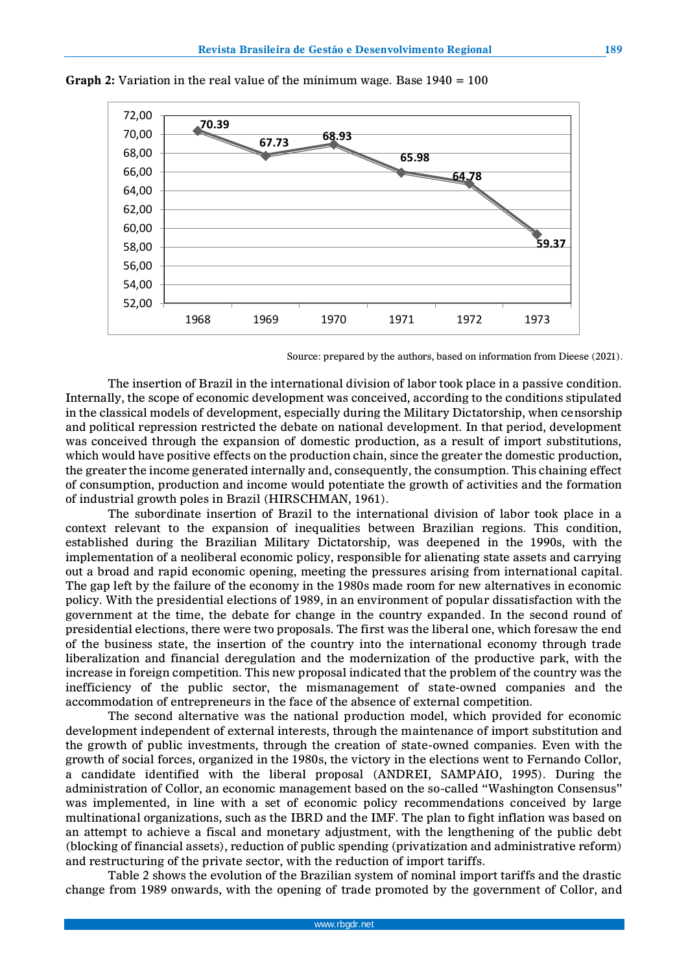

**Graph 2:** Variation in the real value of the minimum wage. Base 1940 = 100

Source: prepared by the authors, based on information from Dieese (2021).

The insertion of Brazil in the international division of labor took place in a passive condition. Internally, the scope of economic development was conceived, according to the conditions stipulated in the classical models of development, especially during the Military Dictatorship, when censorship and political repression restricted the debate on national development. In that period, development was conceived through the expansion of domestic production, as a result of import substitutions, which would have positive effects on the production chain, since the greater the domestic production, the greater the income generated internally and, consequently, the consumption. This chaining effect of consumption, production and income would potentiate the growth of activities and the formation of industrial growth poles in Brazil (HIRSCHMAN, 1961).

The subordinate insertion of Brazil to the international division of labor took place in a context relevant to the expansion of inequalities between Brazilian regions. This condition, established during the Brazilian Military Dictatorship, was deepened in the 1990s, with the implementation of a neoliberal economic policy, responsible for alienating state assets and carrying out a broad and rapid economic opening, meeting the pressures arising from international capital. The gap left by the failure of the economy in the 1980s made room for new alternatives in economic policy. With the presidential elections of 1989, in an environment of popular dissatisfaction with the government at the time, the debate for change in the country expanded. In the second round of presidential elections, there were two proposals. The first was the liberal one, which foresaw the end of the business state, the insertion of the country into the international economy through trade liberalization and financial deregulation and the modernization of the productive park, with the increase in foreign competition. This new proposal indicated that the problem of the country was the inefficiency of the public sector, the mismanagement of state-owned companies and the accommodation of entrepreneurs in the face of the absence of external competition.

The second alternative was the national production model, which provided for economic development independent of external interests, through the maintenance of import substitution and the growth of public investments, through the creation of state-owned companies. Even with the growth of social forces, organized in the 1980s, the victory in the elections went to Fernando Collor, a candidate identified with the liberal proposal (ANDREI, SAMPAIO, 1995). During the administration of Collor, an economic management based on the so-called "Washington Consensus" was implemented, in line with a set of economic policy recommendations conceived by large multinational organizations, such as the IBRD and the IMF. The plan to fight inflation was based on an attempt to achieve a fiscal and monetary adjustment, with the lengthening of the public debt (blocking of financial assets), reduction of public spending (privatization and administrative reform) and restructuring of the private sector, with the reduction of import tariffs.

Table 2 shows the evolution of the Brazilian system of nominal import tariffs and the drastic change from 1989 onwards, with the opening of trade promoted by the government of Collor, and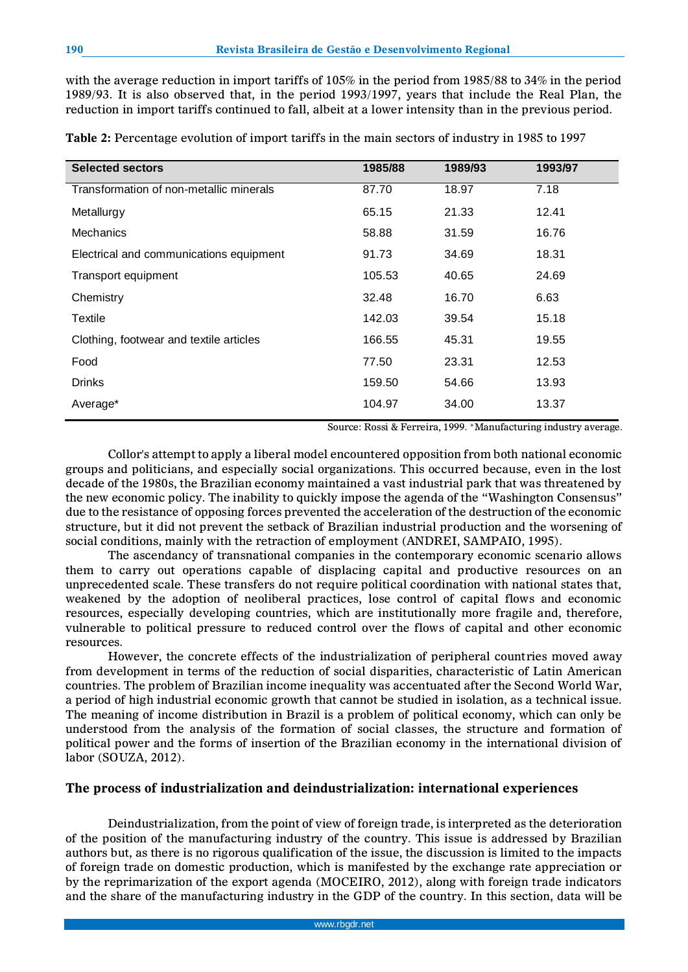with the average reduction in import tariffs of 105% in the period from 1985/88 to 34% in the period 1989/93. It is also observed that, in the period 1993/1997, years that include the Real Plan, the reduction in import tariffs continued to fall, albeit at a lower intensity than in the previous period.

|  |  |  |  | Table 2: Percentage evolution of import tariffs in the main sectors of industry in 1985 to 1997 |
|--|--|--|--|-------------------------------------------------------------------------------------------------|
|--|--|--|--|-------------------------------------------------------------------------------------------------|

| <b>Selected sectors</b>                 | 1985/88 | 1989/93 | 1993/97 |
|-----------------------------------------|---------|---------|---------|
| Transformation of non-metallic minerals | 87.70   | 18.97   | 7.18    |
| Metallurgy                              | 65.15   | 21.33   | 12.41   |
| <b>Mechanics</b>                        | 58.88   | 31.59   | 16.76   |
| Electrical and communications equipment | 91.73   | 34.69   | 18.31   |
| Transport equipment                     | 105.53  | 40.65   | 24.69   |
| Chemistry                               | 32.48   | 16.70   | 6.63    |
| Textile                                 | 142.03  | 39.54   | 15.18   |
| Clothing, footwear and textile articles | 166.55  | 45.31   | 19.55   |
| Food                                    | 77.50   | 23.31   | 12.53   |
| <b>Drinks</b>                           | 159.50  | 54.66   | 13.93   |
| Average*                                | 104.97  | 34.00   | 13.37   |

Source: Rossi & Ferreira, 1999. \*Manufacturing industry average.

Collor's attempt to apply a liberal model encountered opposition from both national economic groups and politicians, and especially social organizations. This occurred because, even in the lost decade of the 1980s, the Brazilian economy maintained a vast industrial park that was threatened by the new economic policy. The inability to quickly impose the agenda of the "Washington Consensus" due to the resistance of opposing forces prevented the acceleration of the destruction of the economic structure, but it did not prevent the setback of Brazilian industrial production and the worsening of social conditions, mainly with the retraction of employment (ANDREI, SAMPAIO, 1995).

The ascendancy of transnational companies in the contemporary economic scenario allows them to carry out operations capable of displacing capital and productive resources on an unprecedented scale. These transfers do not require political coordination with national states that, weakened by the adoption of neoliberal practices, lose control of capital flows and economic resources, especially developing countries, which are institutionally more fragile and, therefore, vulnerable to political pressure to reduced control over the flows of capital and other economic resources.

However, the concrete effects of the industrialization of peripheral countries moved away from development in terms of the reduction of social disparities, characteristic of Latin American countries. The problem of Brazilian income inequality was accentuated after the Second World War, a period of high industrial economic growth that cannot be studied in isolation, as a technical issue. The meaning of income distribution in Brazil is a problem of political economy, which can only be understood from the analysis of the formation of social classes, the structure and formation of political power and the forms of insertion of the Brazilian economy in the international division of labor (SOUZA, 2012).

## **The process of industrialization and deindustrialization: international experiences**

Deindustrialization, from the point of view of foreign trade, is interpreted as the deterioration of the position of the manufacturing industry of the country. This issue is addressed by Brazilian authors but, as there is no rigorous qualification of the issue, the discussion is limited to the impacts of foreign trade on domestic production, which is manifested by the exchange rate appreciation or by the reprimarization of the export agenda (MOCEIRO, 2012), along with foreign trade indicators and the share of the manufacturing industry in the GDP of the country. In this section, data will be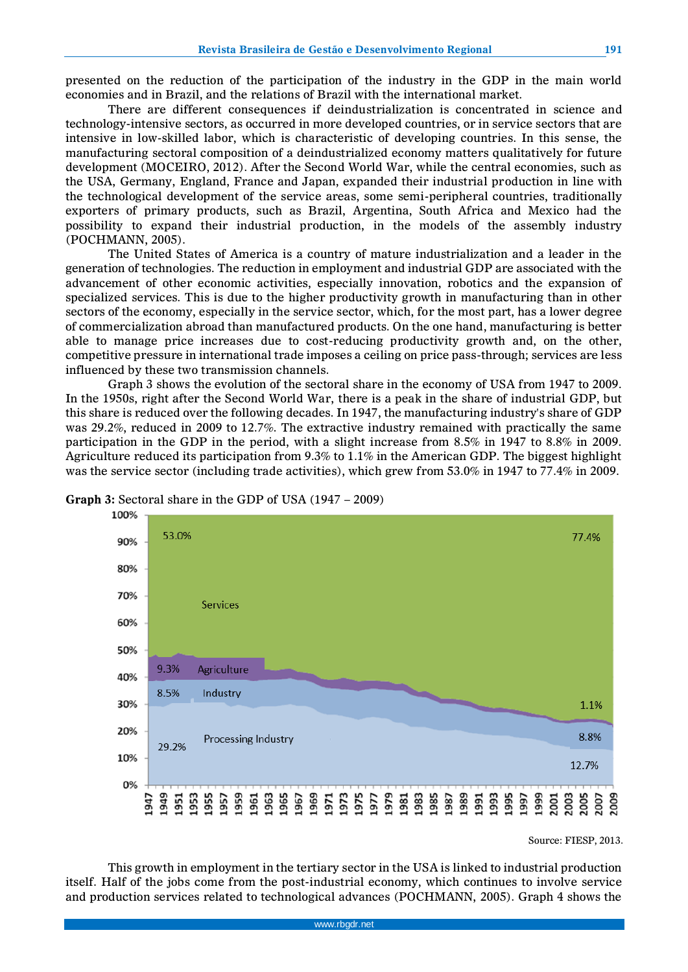presented on the reduction of the participation of the industry in the GDP in the main world economies and in Brazil, and the relations of Brazil with the international market.

There are different consequences if deindustrialization is concentrated in science and technology-intensive sectors, as occurred in more developed countries, or in service sectors that are intensive in low-skilled labor, which is characteristic of developing countries. In this sense, the manufacturing sectoral composition of a deindustrialized economy matters qualitatively for future development (MOCEIRO, 2012). After the Second World War, while the central economies, such as the USA, Germany, England, France and Japan, expanded their industrial production in line with the technological development of the service areas, some semi-peripheral countries, traditionally exporters of primary products, such as Brazil, Argentina, South Africa and Mexico had the possibility to expand their industrial production, in the models of the assembly industry (POCHMANN, 2005).

The United States of America is a country of mature industrialization and a leader in the generation of technologies. The reduction in employment and industrial GDP are associated with the advancement of other economic activities, especially innovation, robotics and the expansion of specialized services. This is due to the higher productivity growth in manufacturing than in other sectors of the economy, especially in the service sector, which, for the most part, has a lower degree of commercialization abroad than manufactured products. On the one hand, manufacturing is better able to manage price increases due to cost-reducing productivity growth and, on the other, competitive pressure in international trade imposes a ceiling on price pass-through; services are less influenced by these two transmission channels.

Graph 3 shows the evolution of the sectoral share in the economy of USA from 1947 to 2009. In the 1950s, right after the Second World War, there is a peak in the share of industrial GDP, but this share is reduced over the following decades. In 1947, the manufacturing industry's share of GDP was 29.2%, reduced in 2009 to 12.7%. The extractive industry remained with practically the same participation in the GDP in the period, with a slight increase from 8.5% in 1947 to 8.8% in 2009. Agriculture reduced its participation from 9.3% to 1.1% in the American GDP. The biggest highlight was the service sector (including trade activities), which grew from 53.0% in 1947 to 77.4% in 2009.



#### **Graph 3:** Sectoral share in the GDP of USA (1947 – 2009)

Source: FIESP, 2013.

This growth in employment in the tertiary sector in the USA is linked to industrial production itself. Half of the jobs come from the post-industrial economy, which continues to involve service and production services related to technological advances (POCHMANN, 2005). Graph 4 shows the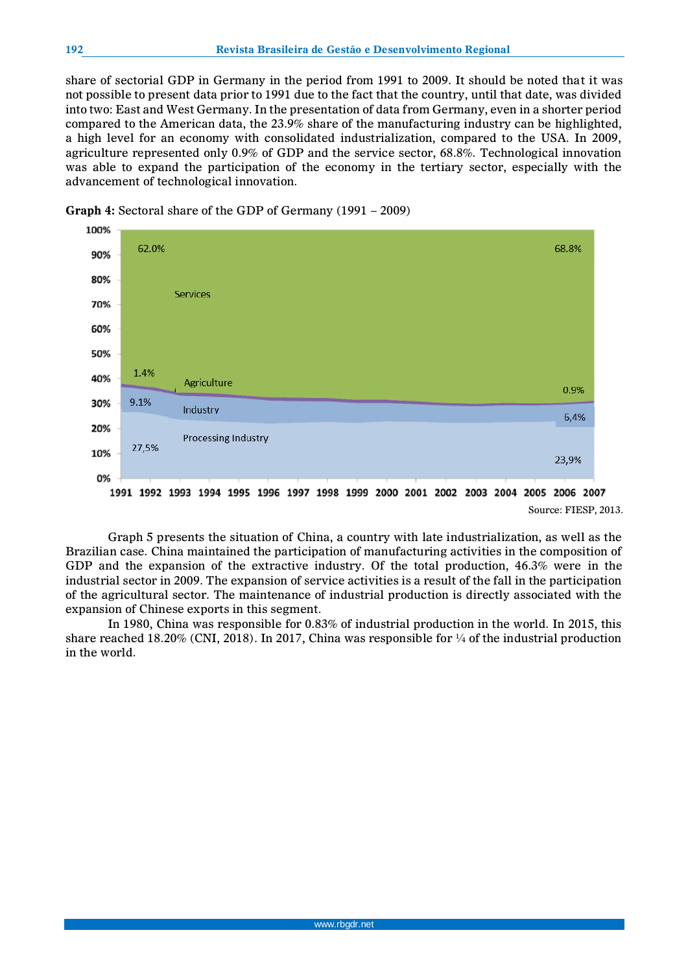share of sectorial GDP in Germany in the period from 1991 to 2009. It should be noted that it was not possible to present data prior to 1991 due to the fact that the country, until that date, was divided into two: East and West Germany. In the presentation of data from Germany, even in a shorter period compared to the American data, the 23.9% share of the manufacturing industry can be highlighted, a high level for an economy with consolidated industrialization, compared to the USA. In 2009, agriculture represented only 0.9% of GDP and the service sector, 68.8%. Technological innovation was able to expand the participation of the economy in the tertiary sector, especially with the advancement of technological innovation.



**Graph 4:** Sectoral share of the GDP of Germany (1991 – 2009)

Graph 5 presents the situation of China, a country with late industrialization, as well as the Brazilian case. China maintained the participation of manufacturing activities in the composition of GDP and the expansion of the extractive industry. Of the total production, 46.3% were in the industrial sector in 2009. The expansion of service activities is a result of the fall in the participation of the agricultural sector. The maintenance of industrial production is directly associated with the expansion of Chinese exports in this segment.

In 1980, China was responsible for 0.83% of industrial production in the world. In 2015, this share reached 18.20% (CNI, 2018). In 2017, China was responsible for  $\frac{1}{4}$  of the industrial production in the world.

Source: FIESP, 2013.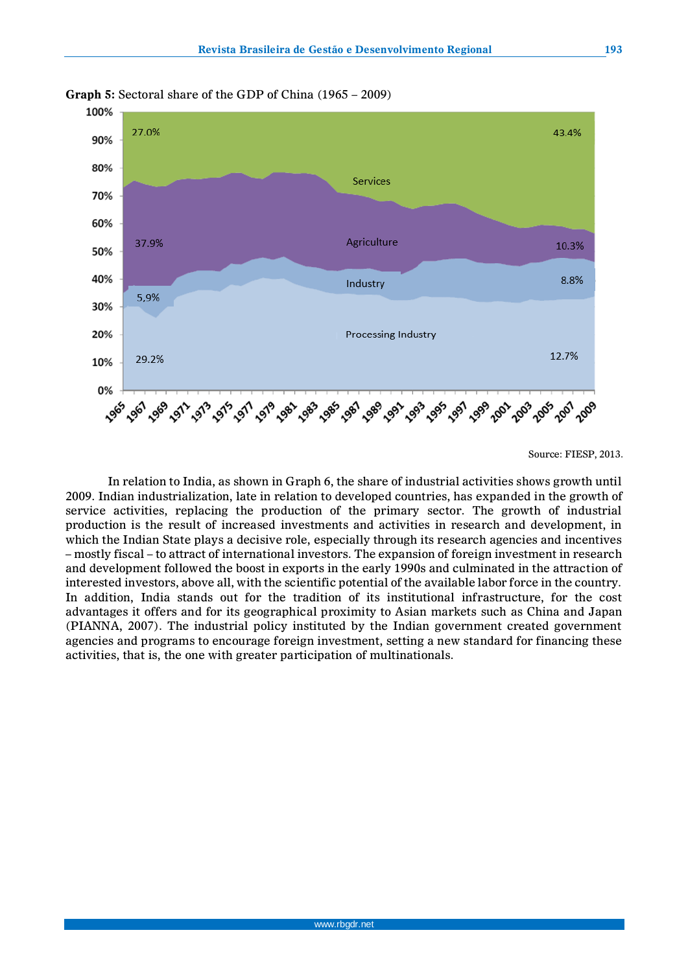

**Graph 5:** Sectoral share of the GDP of China (1965 – 2009)

In relation to India, as shown in Graph 6, the share of industrial activities shows growth until 2009. Indian industrialization, late in relation to developed countries, has expanded in the growth of service activities, replacing the production of the primary sector. The growth of industrial production is the result of increased investments and activities in research and development, in which the Indian State plays a decisive role, especially through its research agencies and incentives – mostly fiscal – to attract of international investors. The expansion of foreign investment in research and development followed the boost in exports in the early 1990s and culminated in the attraction of interested investors, above all, with the scientific potential of the available labor force in the country. In addition, India stands out for the tradition of its institutional infrastructure, for the cost advantages it offers and for its geographical proximity to Asian markets such as China and Japan (PIANNA, 2007). The industrial policy instituted by the Indian government created government agencies and programs to encourage foreign investment, setting a new standard for financing these activities, that is, the one with greater participation of multinationals.

Source: FIESP, 2013.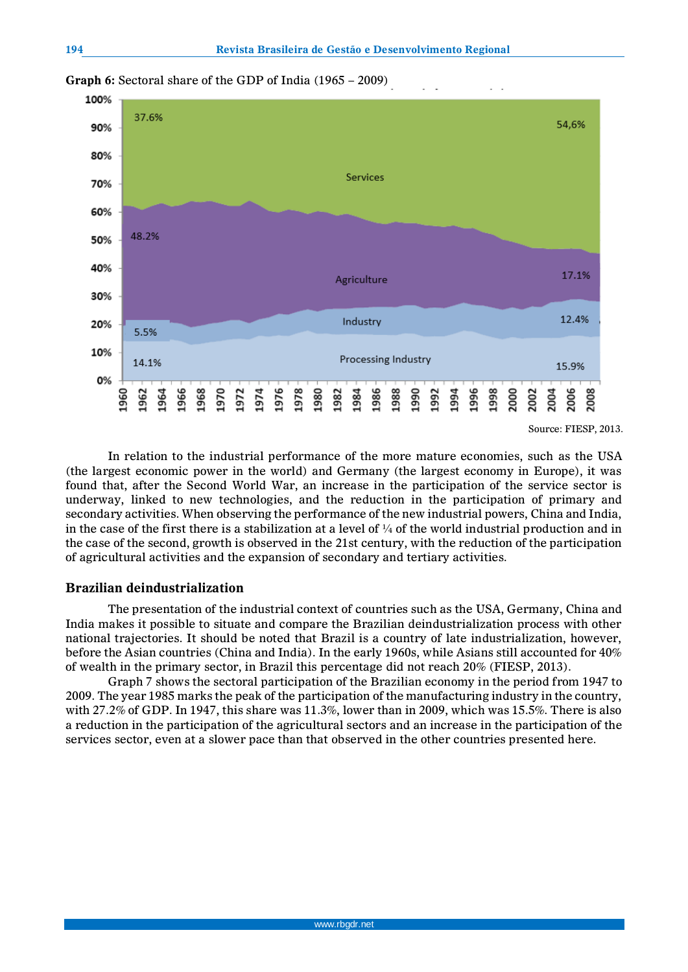

**Graph 6:** Sectoral share of the GDP of India (1965 – 2009)

# **Brazilian deindustrialization**

The presentation of the industrial context of countries such as the USA, Germany, China and India makes it possible to situate and compare the Brazilian deindustrialization process with other national trajectories. It should be noted that Brazil is a country of late industrialization, however, before the Asian countries (China and India). In the early 1960s, while Asians still accounted for 40% of wealth in the primary sector, in Brazil this percentage did not reach 20% (FIESP, 2013).

Graph 7 shows the sectoral participation of the Brazilian economy in the period from 1947 to 2009. The year 1985 marks the peak of the participation of the manufacturing industry in the country, with 27.2% of GDP. In 1947, this share was 11.3%, lower than in 2009, which was 15.5%. There is also a reduction in the participation of the agricultural sectors and an increase in the participation of the services sector, even at a slower pace than that observed in the other countries presented here.

In relation to the industrial performance of the more mature economies, such as the USA (the largest economic power in the world) and Germany (the largest economy in Europe), it was found that, after the Second World War, an increase in the participation of the service sector is underway, linked to new technologies, and the reduction in the participation of primary and secondary activities. When observing the performance of the new industrial powers, China and India, in the case of the first there is a stabilization at a level of  $\frac{1}{4}$  of the world industrial production and in the case of the second, growth is observed in the 21st century, with the reduction of the participation of agricultural activities and the expansion of secondary and tertiary activities.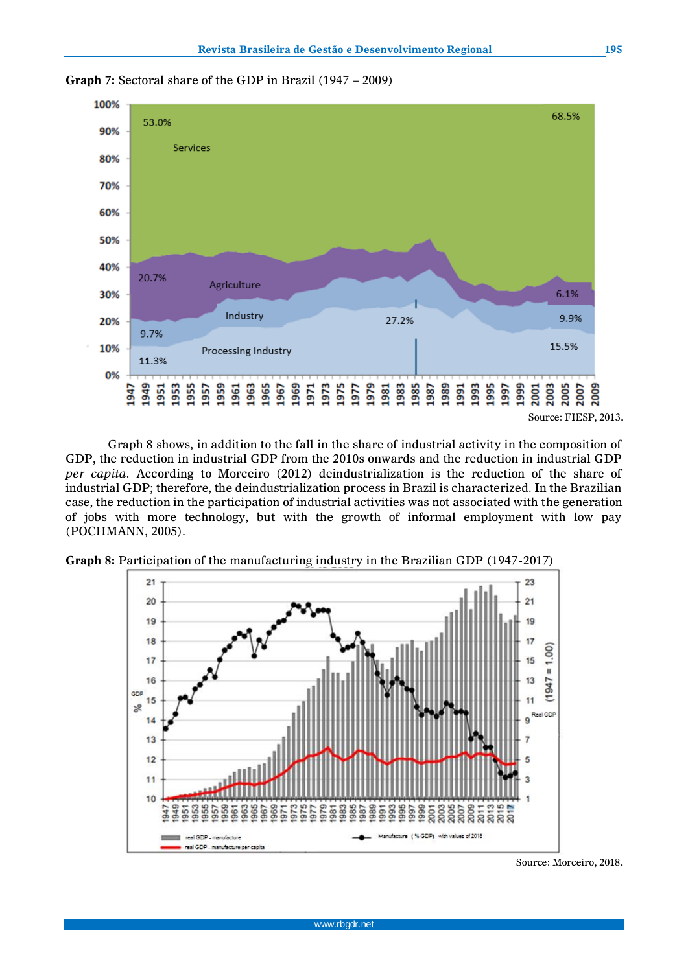

Graph 8 shows, in addition to the fall in the share of industrial activity in the composition of GDP, the reduction in industrial GDP from the 2010s onwards and the reduction in industrial GDP *per capita*. According to Morceiro (2012) deindustrialization is the reduction of the share of industrial GDP; therefore, the deindustrialization process in Brazil is characterized. In the Brazilian case, the reduction in the participation of industrial activities was not associated with the generation of jobs with more technology, but with the growth of informal employment with low pay (POCHMANN, 2005).



**Graph 8:** Participation of the manufacturing industry in the Brazilian GDP (1947-2017)

Source: Morceiro, 2018.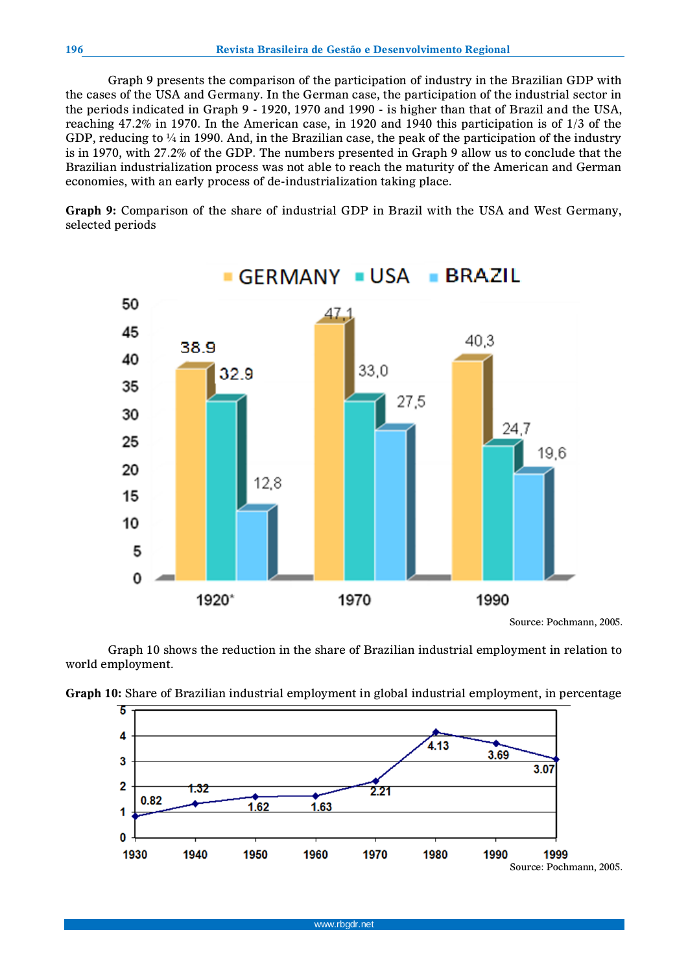Graph 9 presents the comparison of the participation of industry in the Brazilian GDP with the cases of the USA and Germany. In the German case, the participation of the industrial sector in the periods indicated in Graph 9 - 1920, 1970 and 1990 - is higher than that of Brazil and the USA, reaching 47.2% in 1970. In the American case, in 1920 and 1940 this participation is of 1/3 of the GDP, reducing to  $\frac{1}{4}$  in 1990. And, in the Brazilian case, the peak of the participation of the industry is in 1970, with 27.2% of the GDP. The numbers presented in Graph 9 allow us to conclude that the Brazilian industrialization process was not able to reach the maturity of the American and German economies, with an early process of de-industrialization taking place.

**Graph 9:** Comparison of the share of industrial GDP in Brazil with the USA and West Germany, selected periods



Source: Pochmann, 2005.

Graph 10 shows the reduction in the share of Brazilian industrial employment in relation to world employment.



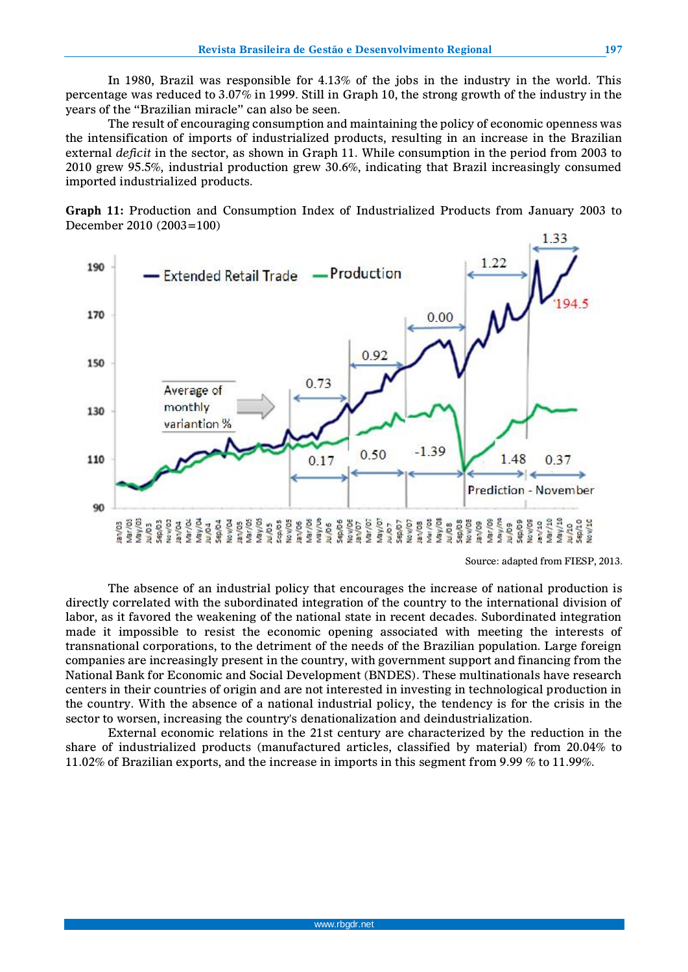In 1980, Brazil was responsible for 4.13% of the jobs in the industry in the world. This percentage was reduced to 3.07% in 1999. Still in Graph 10, the strong growth of the industry in the years of the "Brazilian miracle" can also be seen.

The result of encouraging consumption and maintaining the policy of economic openness was the intensification of imports of industrialized products, resulting in an increase in the Brazilian external *deficit* in the sector, as shown in Graph 11. While consumption in the period from 2003 to 2010 grew 95.5%, industrial production grew 30.6%, indicating that Brazil increasingly consumed imported industrialized products.

**Graph 11:** Production and Consumption Index of Industrialized Products from January 2003 to December 2010 (2003=100)



Source: adapted from FIESP, 2013.

The absence of an industrial policy that encourages the increase of national production is directly correlated with the subordinated integration of the country to the international division of labor, as it favored the weakening of the national state in recent decades. Subordinated integration made it impossible to resist the economic opening associated with meeting the interests of transnational corporations, to the detriment of the needs of the Brazilian population. Large foreign companies are increasingly present in the country, with government support and financing from the National Bank for Economic and Social Development (BNDES). These multinationals have research centers in their countries of origin and are not interested in investing in technological production in the country. With the absence of a national industrial policy, the tendency is for the crisis in the sector to worsen, increasing the country's denationalization and deindustrialization.

External economic relations in the 21st century are characterized by the reduction in the share of industrialized products (manufactured articles, classified by material) from 20.04% to 11.02% of Brazilian exports, and the increase in imports in this segment from 9.99 % to 11.99%.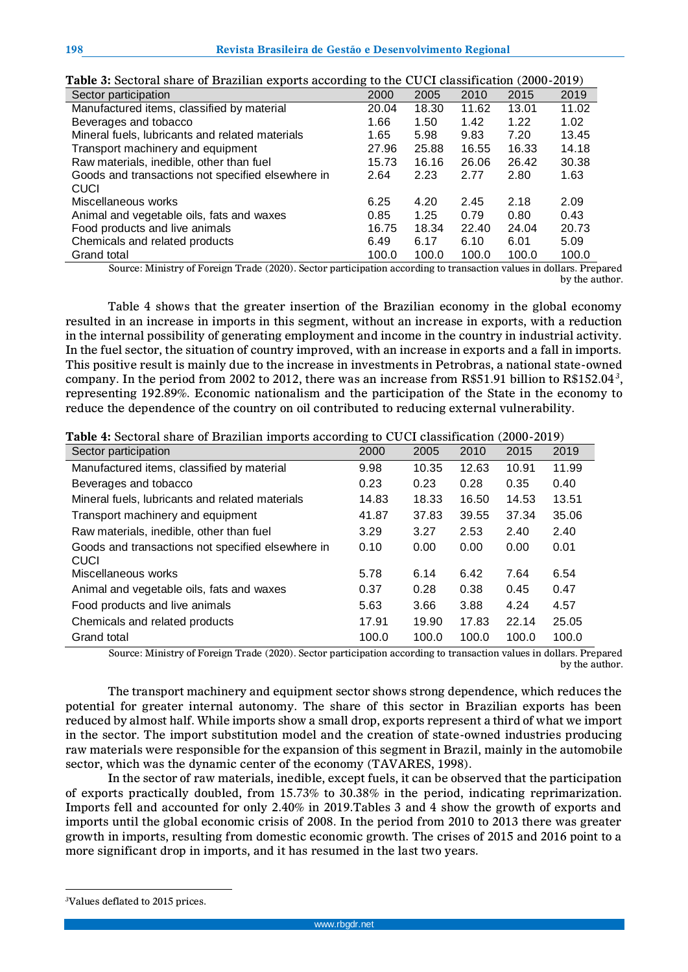| abis of beetoral share or Brazilian enports accoraing to the |       |       |       |       |       |
|--------------------------------------------------------------|-------|-------|-------|-------|-------|
| Sector participation                                         | 2000  | 2005  | 2010  | 2015  | 2019  |
| Manufactured items, classified by material                   | 20.04 | 18.30 | 11.62 | 13.01 | 11.02 |
| Beverages and tobacco                                        | 1.66  | 1.50  | 1.42  | 1.22  | 1.02  |
| Mineral fuels, lubricants and related materials              | 1.65  | 5.98  | 9.83  | 7.20  | 13.45 |
| Transport machinery and equipment                            | 27.96 | 25.88 | 16.55 | 16.33 | 14.18 |
| Raw materials, inedible, other than fuel                     | 15.73 | 16.16 | 26.06 | 26.42 | 30.38 |
| Goods and transactions not specified elsewhere in            | 2.64  | 2.23  | 2.77  | 2.80  | 1.63  |
| CUCI                                                         |       |       |       |       |       |
| Miscellaneous works                                          | 6.25  | 4.20  | 2.45  | 2.18  | 2.09  |
| Animal and vegetable oils, fats and waxes                    | 0.85  | 1.25  | 0.79  | 0.80  | 0.43  |
| Food products and live animals                               | 16.75 | 18.34 | 22.40 | 24.04 | 20.73 |
| Chemicals and related products                               | 6.49  | 6.17  | 6.10  | 6.01  | 5.09  |
| Grand total                                                  | 100.0 | 100.0 | 100.0 | 100.0 | 100.0 |

**Table 3:** Sectoral share of Brazilian exports according to the CUCI classification (2000-2019)

Source: Ministry of Foreign Trade (2020). Sector participation according to transaction values in dollars. Prepared by the author.

Table 4 shows that the greater insertion of the Brazilian economy in the global economy resulted in an increase in imports in this segment, without an increase in exports, with a reduction in the internal possibility of generating employment and income in the country in industrial activity. In the fuel sector, the situation of country improved, with an increase in exports and a fall in imports. This positive result is mainly due to the increase in investments in Petrobras, a national state-owned company. In the period from 2002 to 2012, there was an increase from R\$51.91 billion to R\$152.04*<sup>3</sup>* , representing 192.89%. Economic nationalism and the participation of the State in the economy to reduce the dependence of the country on oil contributed to reducing external vulnerability.

**Table 4:** Sectoral share of Brazilian imports according to CUCI classification (2000-2019)

| Sector participation                                      | 2000  | 2005  | 2010  | 2015  | 2019  |
|-----------------------------------------------------------|-------|-------|-------|-------|-------|
| Manufactured items, classified by material                | 9.98  | 10.35 | 12.63 | 10.91 | 11.99 |
| Beverages and tobacco                                     | 0.23  | 0.23  | 0.28  | 0.35  | 0.40  |
| Mineral fuels, lubricants and related materials           | 14.83 | 18.33 | 16.50 | 14.53 | 13.51 |
| Transport machinery and equipment                         | 41.87 | 37.83 | 39.55 | 37.34 | 35.06 |
| Raw materials, inedible, other than fuel                  | 3.29  | 3.27  | 2.53  | 2.40  | 2.40  |
| Goods and transactions not specified elsewhere in<br>CUCI | 0.10  | 0.00  | 0.00  | 0.00  | 0.01  |
| Miscellaneous works                                       | 5.78  | 6.14  | 6.42  | 7.64  | 6.54  |
| Animal and vegetable oils, fats and waxes                 | 0.37  | 0.28  | 0.38  | 0.45  | 0.47  |
| Food products and live animals                            | 5.63  | 3.66  | 3.88  | 4.24  | 4.57  |
| Chemicals and related products                            | 17.91 | 19.90 | 17.83 | 22.14 | 25.05 |
| <b>Grand total</b>                                        | 100.0 | 100.0 | 100.0 | 100.0 | 100.0 |

Source: Ministry of Foreign Trade (2020). Sector participation according to transaction values in dollars. Prepared by the author.

The transport machinery and equipment sector shows strong dependence, which reduces the potential for greater internal autonomy. The share of this sector in Brazilian exports has been reduced by almost half. While imports show a small drop, exports represent a third of what we import in the sector. The import substitution model and the creation of state-owned industries producing raw materials were responsible for the expansion of this segment in Brazil, mainly in the automobile sector, which was the dynamic center of the economy (TAVARES, 1998).

In the sector of raw materials, inedible, except fuels, it can be observed that the participation of exports practically doubled, from 15.73% to 30.38% in the period, indicating reprimarization. Imports fell and accounted for only 2.40% in 2019.Tables 3 and 4 show the growth of exports and imports until the global economic crisis of 2008. In the period from 2010 to 2013 there was greater growth in imports, resulting from domestic economic growth. The crises of 2015 and 2016 point to a more significant drop in imports, and it has resumed in the last two years.

 $\overline{a}$ *3*Values deflated to 2015 prices.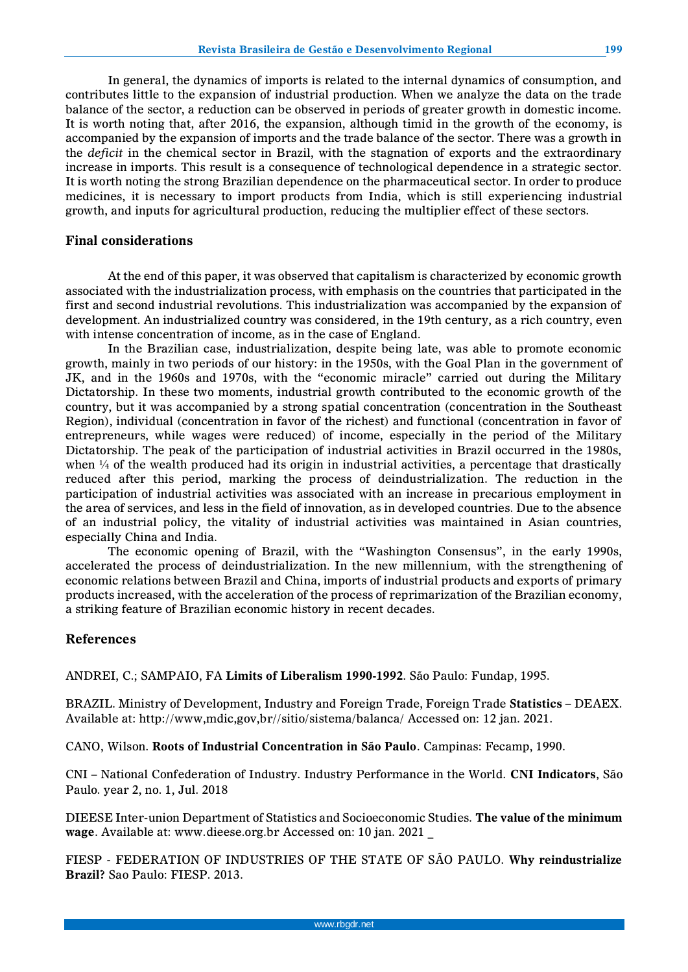In general, the dynamics of imports is related to the internal dynamics of consumption, and contributes little to the expansion of industrial production. When we analyze the data on the trade balance of the sector, a reduction can be observed in periods of greater growth in domestic income. It is worth noting that, after 2016, the expansion, although timid in the growth of the economy, is accompanied by the expansion of imports and the trade balance of the sector. There was a growth in the *deficit* in the chemical sector in Brazil, with the stagnation of exports and the extraordinary increase in imports. This result is a consequence of technological dependence in a strategic sector. It is worth noting the strong Brazilian dependence on the pharmaceutical sector. In order to produce medicines, it is necessary to import products from India, which is still experiencing industrial growth, and inputs for agricultural production, reducing the multiplier effect of these sectors.

# **Final considerations**

At the end of this paper, it was observed that capitalism is characterized by economic growth associated with the industrialization process, with emphasis on the countries that participated in the first and second industrial revolutions. This industrialization was accompanied by the expansion of development. An industrialized country was considered, in the 19th century, as a rich country, even with intense concentration of income, as in the case of England.

In the Brazilian case, industrialization, despite being late, was able to promote economic growth, mainly in two periods of our history: in the 1950s, with the Goal Plan in the government of JK, and in the 1960s and 1970s, with the "economic miracle" carried out during the Military Dictatorship. In these two moments, industrial growth contributed to the economic growth of the country, but it was accompanied by a strong spatial concentration (concentration in the Southeast Region), individual (concentration in favor of the richest) and functional (concentration in favor of entrepreneurs, while wages were reduced) of income, especially in the period of the Military Dictatorship. The peak of the participation of industrial activities in Brazil occurred in the 1980s, when  $\frac{1}{4}$  of the wealth produced had its origin in industrial activities, a percentage that drastically reduced after this period, marking the process of deindustrialization. The reduction in the participation of industrial activities was associated with an increase in precarious employment in the area of services, and less in the field of innovation, as in developed countries. Due to the absence of an industrial policy, the vitality of industrial activities was maintained in Asian countries, especially China and India.

The economic opening of Brazil, with the "Washington Consensus", in the early 1990s, accelerated the process of deindustrialization. In the new millennium, with the strengthening of economic relations between Brazil and China, imports of industrial products and exports of primary products increased, with the acceleration of the process of reprimarization of the Brazilian economy, a striking feature of Brazilian economic history in recent decades.

## **References**

ANDREI, C.; SAMPAIO, FA **Limits of Liberalism 1990-1992**. São Paulo: Fundap, 1995.

BRAZIL. Ministry of Development, Industry and Foreign Trade, Foreign Trade **Statistics** – DEAEX. Available at: http://www,mdic,gov,br//sitio/sistema/balanca/ Accessed on: 12 jan. 2021.

CANO, Wilson. **Roots of Industrial Concentration in São Paulo**. Campinas: Fecamp, 1990.

CNI – National Confederation of Industry. Industry Performance in the World. **CNI Indicators**, São Paulo. year 2, no. 1, Jul. 2018

DIEESE Inter-union Department of Statistics and Socioeconomic Studies. **The value of the minimum wage**. Available at: www.dieese.org.br Accessed on: 10 jan. 2021 \_

FIESP - FEDERATION OF INDUSTRIES OF THE STATE OF SÃO PAULO. **Why reindustrialize Brazil?** Sao Paulo: FIESP. 2013.